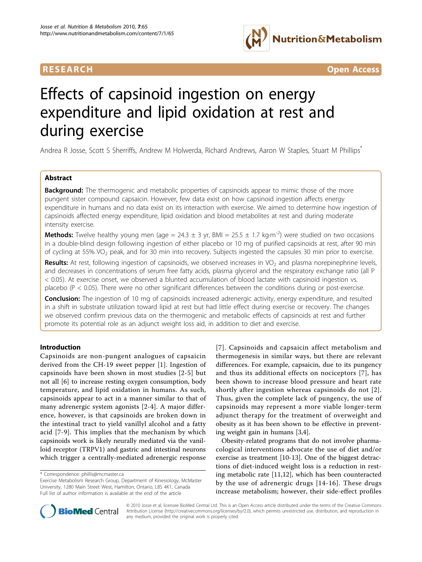



# Effects of capsinoid ingestion on energy expenditure and lipid oxidation at rest and during exercise

Andrea R Josse, Scott S Sherriffs, Andrew M Holwerda, Richard Andrews, Aaron W Staples, Stuart M Phillips\*

# Abstract

**Background:** The thermogenic and metabolic properties of capsinoids appear to mimic those of the more pungent sister compound capsaicin. However, few data exist on how capsinoid ingestion affects energy expenditure in humans and no data exist on its interaction with exercise. We aimed to determine how ingestion of capsinoids affected energy expenditure, lipid oxidation and blood metabolites at rest and during moderate intensity exercise.

**Methods:** Twelve healthy young men (age = 24.3  $\pm$  3 yr, BMI = 25.5  $\pm$  1.7 kg·m<sup>-2</sup>) were studied on two occasions in a double-blind design following ingestion of either placebo or 10 mg of purified capsinoids at rest, after 90 min of cycling at 55% VO<sub>2</sub> peak, and for 30 min into recovery. Subjects ingested the capsules 30 min prior to exercise.

Results: At rest, following ingestion of capsinoids, we observed increases in VO<sub>2</sub> and plasma norepinephrine levels, and decreases in concentrations of serum free fatty acids, plasma glycerol and the respiratory exchange ratio (all P < 0.05). At exercise onset, we observed a blunted accumulation of blood lactate with capsinoid ingestion vs. placebo (P < 0.05). There were no other significant differences between the conditions during or post-exercise.

**Conclusion:** The ingestion of 10 mg of capsinoids increased adrenergic activity, energy expenditure, and resulted in a shift in substrate utilization toward lipid at rest but had little effect during exercise or recovery. The changes we observed confirm previous data on the thermogenic and metabolic effects of capsinoids at rest and further promote its potential role as an adjunct weight loss aid, in addition to diet and exercise.

# Introduction

Capsinoids are non-pungent analogues of capsaicin derived from the CH-19 sweet pepper [[1\]](#page-8-0). Ingestion of capsinoids have been shown in most studies [[2-5\]](#page-8-0) but not all [[6\]](#page-8-0) to increase resting oxygen consumption, body temperature, and lipid oxidation in humans. As such, capsinoids appear to act in a manner similar to that of many adrenergic system agonists [\[2](#page-8-0)-[4](#page-8-0)]. A major difference, however, is that capsinoids are broken down in the intestinal tract to yield vanillyl alcohol and a fatty acid [[7](#page-8-0)-[9](#page-8-0)]. This implies that the mechanism by which capsinoids work is likely neurally mediated via the vanilloid receptor (TRPV1) and gastric and intestinal neurons which trigger a centrally-mediated adrenergic response

[[7\]](#page-8-0). Capsinoids and capsaicin affect metabolism and thermogenesis in similar ways, but there are relevant differences. For example, capsaicin, due to its pungency and thus its additional effects on nociceptors [[7](#page-8-0)], has been shown to increase blood pressure and heart rate shortly after ingestion whereas capsinoids do not [[2\]](#page-8-0). Thus, given the complete lack of pungency, the use of capsinoids may represent a more viable longer-term adjunct therapy for the treatment of overweight and obesity as it has been shown to be effective in preventing weight gain in humans [[3,4\]](#page-8-0).

Obesity-related programs that do not involve pharmacological interventions advocate the use of diet and/or exercise as treatment [\[10-13](#page-8-0)]. One of the biggest detractions of diet-induced weight loss is a reduction in resting metabolic rate [[11,12\]](#page-8-0), which has been counteracted by the use of adrenergic drugs [\[14](#page-8-0)-[16\]](#page-8-0). These drugs increase metabolism; however, their side-effect profiles



© 2010 Josse et al; licensee BioMed Central Ltd. This is an Open Access article distributed under the terms of the Creative Commons Attribution License [\(http://creativecommons.org/licenses/by/2.0](http://creativecommons.org/licenses/by/2.0)), which permits unrestricted use, distribution, and reproduction in any medium, provided the original work is properly cited.

<sup>\*</sup> Correspondence: [phillis@mcmaster.ca](mailto:phillis@mcmaster.ca)

Exercise Metabolism Research Group, Department of Kinesiology, McMaster University, 1280 Main Street West, Hamilton, Ontario, L8S 4K1, Canada Full list of author information is available at the end of the article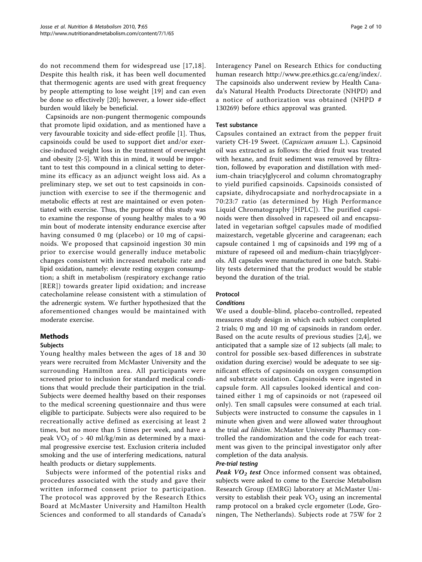do not recommend them for widespread use [[17,18\]](#page-8-0). Despite this health risk, it has been well documented that thermogenic agents are used with great frequency by people attempting to lose weight [\[19\]](#page-8-0) and can even be done so effectively [\[20](#page-9-0)]; however, a lower side-effect burden would likely be beneficial.

Capsinoids are non-pungent thermogenic compounds that promote lipid oxidation, and as mentioned have a very favourable toxicity and side-effect profile [[1\]](#page-8-0). Thus, capsinoids could be used to support diet and/or exercise-induced weight loss in the treatment of overweight and obesity [[2-5](#page-8-0)]. With this in mind, it would be important to test this compound in a clinical setting to determine its efficacy as an adjunct weight loss aid. As a preliminary step, we set out to test capsinoids in conjunction with exercise to see if the thermogenic and metabolic effects at rest are maintained or even potentiated with exercise. Thus, the purpose of this study was to examine the response of young healthy males to a 90 min bout of moderate intensity endurance exercise after having consumed 0 mg (placebo) or 10 mg of capsinoids. We proposed that capsinoid ingestion 30 min prior to exercise would generally induce metabolic changes consistent with increased metabolic rate and lipid oxidation, namely: elevate resting oxygen consumption; a shift in metabolism (respiratory exchange ratio [RER]) towards greater lipid oxidation; and increase catecholamine release consistent with a stimulation of the adrenergic system. We further hypothesized that the aforementioned changes would be maintained with moderate exercise.

# Methods

# Subjects

Young healthy males between the ages of 18 and 30 years were recruited from McMaster University and the surrounding Hamilton area. All participants were screened prior to inclusion for standard medical conditions that would preclude their participation in the trial. Subjects were deemed healthy based on their responses to the medical screening questionnaire and thus were eligible to participate. Subjects were also required to be recreationally active defined as exercising at least 2 times, but no more than 5 times per week, and have a peak  $VO<sub>2</sub>$  of > 40 ml/kg/min as determined by a maximal progressive exercise test. Exclusion criteria included smoking and the use of interfering medications, natural health products or dietary supplements.

Subjects were informed of the potential risks and procedures associated with the study and gave their written informed consent prior to participation. The protocol was approved by the Research Ethics Board at McMaster University and Hamilton Health Sciences and conformed to all standards of Canada's Interagency Panel on Research Ethics for conducting human research<http://www.pre.ethics.gc.ca/eng/index/>. The capsinoids also underwent review by Health Canada's Natural Health Products Directorate (NHPD) and a notice of authorization was obtained (NHPD # 130269) before ethics approval was granted.

#### Test substance

Capsules contained an extract from the pepper fruit variety CH-19 Sweet. (Capsicum anuum L.). Capsinoid oil was extracted as follows: the dried fruit was treated with hexane, and fruit sediment was removed by filtration, followed by evaporation and distillation with medium-chain triacylglycerol and column chromatography to yield purified capsinoids. Capsinoids consisted of capsiate, dihydrocapsiate and norhydrocapsiate in a 70:23:7 ratio (as determined by High Performance Liquid Chromatography [HPLC]). The purified capsinoids were then dissolved in rapeseed oil and encapsulated in vegetarian softgel capsules made of modified maizestarch, vegetable glycerine and carageenan; each capsule contained 1 mg of capsinoids and 199 mg of a mixture of rapeseed oil and medium-chain triacylglycerols. All capsules were manufactured in one batch. Stability tests determined that the product would be stable beyond the duration of the trial.

# Protocol

## **Conditions**

We used a double-blind, placebo-controlled, repeated measures study design in which each subject completed 2 trials; 0 mg and 10 mg of capsinoids in random order. Based on the acute results of previous studies [[2,4](#page-8-0)], we anticipated that a sample size of 12 subjects (all male; to control for possible sex-based differences in substrate oxidation during exercise) would be adequate to see significant effects of capsinoids on oxygen consumption and substrate oxidation. Capsinoids were ingested in capsule form. All capsules looked identical and contained either 1 mg of capsinoids or not (rapeseed oil only). Ten small capsules were consumed at each trial. Subjects were instructed to consume the capsules in 1 minute when given and were allowed water throughout the trial *ad libitim*. McMaster University Pharmacy controlled the randomization and the code for each treatment was given to the principal investigator only after completion of the data analysis.

#### Pre-trial testing

Peak  $VO_2$  test Once informed consent was obtained, subjects were asked to come to the Exercise Metabolism Research Group (EMRG) laboratory at McMaster University to establish their peak  $VO<sub>2</sub>$  using an incremental ramp protocol on a braked cycle ergometer (Lode, Groningen, The Netherlands). Subjects rode at 75W for 2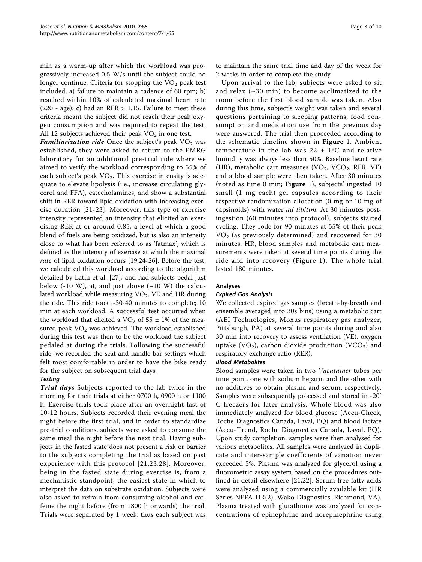min as a warm-up after which the workload was progressively increased 0.5 W/s until the subject could no longer continue. Criteria for stopping the  $VO<sub>2</sub>$  peak test included, a) failure to maintain a cadence of 60 rpm; b) reached within 10% of calculated maximal heart rate (220 - age); c) had an RER  $> 1.15$ . Failure to meet these criteria meant the subject did not reach their peak oxygen consumption and was required to repeat the test. All 12 subjects achieved their peak  $VO<sub>2</sub>$  in one test.

**Familiarization ride** Once the subject's peak  $VO<sub>2</sub>$  was established, they were asked to return to the EMRG laboratory for an additional pre-trial ride where we aimed to verify the workload corresponding to 55% of each subject's peak  $VO<sub>2</sub>$ . This exercise intensity is adequate to elevate lipolysis (i.e., increase circulating glycerol and FFA), catecholamines, and show a substantial shift in RER toward lipid oxidation with increasing exercise duration [[21-23](#page-9-0)]. Moreover, this type of exercise intensity represented an intensity that elicited an exercising RER at or around 0.85, a level at which a good blend of fuels are being oxidized, but is also an intensity close to what has been referred to as 'fatmax', which is defined as the intensity of exercise at which the maximal rate of lipid oxidation occurs [\[19,](#page-8-0)[24-26](#page-9-0)]. Before the test, we calculated this workload according to the algorithm detailed by Latin et al. [[27\]](#page-9-0), and had subjects pedal just below  $(-10 \text{ W})$ , at, and just above  $(+10 \text{ W})$  the calculated workload while measuring  $VO<sub>2</sub>$ , VE and HR during the ride. This ride took ~30-40 minutes to complete; 10 min at each workload. A successful test occurred when the workload that elicited a  $VO<sub>2</sub>$  of 55  $\pm$  1% of the measured peak  $VO<sub>2</sub>$  was achieved. The workload established during this test was then to be the workload the subject pedaled at during the trials. Following the successful ride, we recorded the seat and handle bar settings which felt most comfortable in order to have the bike ready for the subject on subsequent trial days.

# **Testing**

Trial days Subjects reported to the lab twice in the morning for their trials at either 0700 h, 0900 h or 1100 h. Exercise trials took place after an overnight fast of 10-12 hours. Subjects recorded their evening meal the night before the first trial, and in order to standardize pre-trial conditions, subjects were asked to consume the same meal the night before the next trial. Having subjects in the fasted state does not present a risk or barrier to the subjects completing the trial as based on past experience with this protocol [[21](#page-9-0),[23,28\]](#page-9-0). Moreover, being in the fasted state during exercise is, from a mechanistic standpoint, the easiest state in which to interpret the data on substrate oxidation. Subjects were also asked to refrain from consuming alcohol and caffeine the night before (from 1800 h onwards) the trial. Trials were separated by 1 week, thus each subject was

to maintain the same trial time and day of the week for 2 weeks in order to complete the study.

Upon arrival to the lab, subjects were asked to sit and relax (~30 min) to become acclimatized to the room before the first blood sample was taken. Also during this time, subject's weight was taken and several questions pertaining to sleeping patterns, food consumption and medication use from the previous day were answered. The trial then proceeded according to the schematic timeline shown in Figure [1](#page-3-0). Ambient temperature in the lab was  $22 \pm 1$ °C and relative humidity was always less than 50%. Baseline heart rate (HR), metabolic cart measures (VO<sub>2</sub>, VCO<sub>2</sub>, RER, VE) and a blood sample were then taken. After 30 minutes (noted as time 0 min; Figure [1](#page-3-0)), subjects' ingested 10 small (1 mg each) gel capsules according to their respective randomization allocation (0 mg or 10 mg of capsinoids) with water ad libitim. At 30 minutes postingestion (60 minutes into protocol), subjects started cycling. They rode for 90 minutes at 55% of their peak  $VO<sub>2</sub>$  (as previously determined) and recovered for 30 minutes. HR, blood samples and metabolic cart measurements were taken at several time points during the ride and into recovery (Figure [1](#page-3-0)). The whole trial lasted 180 minutes.

# Analyses

## Expired Gas Analysis

We collected expired gas samples (breath-by-breath and ensemble averaged into 30s bins) using a metabolic cart (AEI Technologies, Moxus respiratory gas analyzer, Pittsburgh, PA) at several time points during and also 30 min into recovery to assess ventilation (VE), oxygen uptake  $(VO_2)$ , carbon dioxide production  $(VCO_2)$  and respiratory exchange ratio (RER).

## Blood Metabolites

Blood samples were taken in two Vacutainer tubes per time point, one with sodium heparin and the other with no additives to obtain plasma and serum, respectively. Samples were subsequently processed and stored in -20° C freezers for later analysis. Whole blood was also immediately analyzed for blood glucose (Accu-Check, Roche Diagnostics Canada, Laval, PQ) and blood lactate (Accu-Trend, Roche Diagnostics Canada, Laval, PQ). Upon study completion, samples were then analysed for various metabolites. All samples were analyzed in duplicate and inter-sample coefficients of variation never exceeded 5%. Plasma was analyzed for glycerol using a fluorometric assay system based on the procedures outlined in detail elsewhere [[21,22\]](#page-9-0). Serum free fatty acids were analyzed using a commercially available kit (HR Series NEFA-HR(2), Wako Diagnostics, Richmond, VA). Plasma treated with glutathione was analyzed for concentrations of epinephrine and norepinephrine using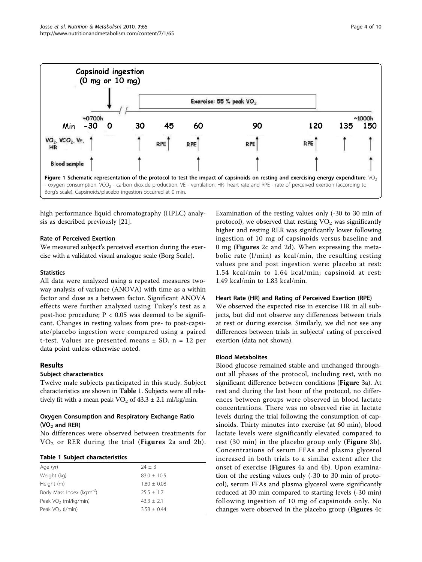<span id="page-3-0"></span>

high performance liquid chromatography (HPLC) analysis as described previously [[21\]](#page-9-0).

# Rate of Perceived Exertion

We measured subject's perceived exertion during the exercise with a validated visual analogue scale (Borg Scale).

## **Statistics**

All data were analyzed using a repeated measures twoway analysis of variance (ANOVA) with time as a within factor and dose as a between factor. Significant ANOVA effects were further analyzed using Tukey's test as a post-hoc procedure;  $P < 0.05$  was deemed to be significant. Changes in resting values from pre- to post-capsiate/placebo ingestion were compared using a paired t-test. Values are presented means  $\pm$  SD, n = 12 per data point unless otherwise noted.

# Results

# Subject characteristics

Twelve male subjects participated in this study. Subject characteristics are shown in Table 1. Subjects were all relatively fit with a mean peak  $VO_2$  of 43.3  $\pm$  2.1 ml/kg/min.

# Oxygen Consumption and Respiratory Exchange Ratio  $(VO<sub>2</sub>$  and RER)

No differences were observed between treatments for  $VO<sub>2</sub>$  or RER during the trial (Figures [2a](#page-4-0) and [2b\)](#page-4-0).

## Table 1 Subject characteristics

| Age (yr)                             | $74 + 3$        |
|--------------------------------------|-----------------|
| Weight (kg)                          | $83.0 + 10.5$   |
| Height (m)                           | $1.80 \pm 0.08$ |
| Body Mass Index (kgm <sup>-2</sup> ) | $25.5 + 1.7$    |
| Peak $VO2$ (ml/kg/min)               | $43.3 + 2.1$    |
| Peak VO <sub>2</sub> (I/min)         | $3.58 + 0.44$   |
|                                      |                 |

Examination of the resting values only (-30 to 30 min of protocol), we observed that resting  $VO<sub>2</sub>$  was significantly higher and resting RER was significantly lower following ingestion of 10 mg of capsinoids versus baseline and 0 mg (Figures [2c](#page-4-0) and [2d\)](#page-4-0). When expressing the metabolic rate (l/min) as kcal/min, the resulting resting values pre and post ingestion were: placebo at rest: 1.54 kcal/min to 1.64 kcal/min; capsinoid at rest: 1.49 kcal/min to 1.83 kcal/min.

## Heart Rate (HR) and Rating of Perceived Exertion (RPE)

We observed the expected rise in exercise HR in all subjects, but did not observe any differences between trials at rest or during exercise. Similarly, we did not see any differences between trials in subjects' rating of perceived exertion (data not shown).

## Blood Metabolites

Blood glucose remained stable and unchanged throughout all phases of the protocol, including rest, with no significant difference between conditions (Figure [3a\)](#page-5-0). At rest and during the last hour of the protocol, no differences between groups were observed in blood lactate concentrations. There was no observed rise in lactate levels during the trial following the consumption of capsinoids. Thirty minutes into exercise (at 60 min), blood lactate levels were significantly elevated compared to rest (30 min) in the placebo group only (**Figure** [3b\)](#page-5-0). Concentrations of serum FFAs and plasma glycerol increased in both trials to a similar extent after the onset of exercise (Figures [4a](#page-6-0) and [4b](#page-6-0)). Upon examination of the resting values only (-30 to 30 min of protocol), serum FFAs and plasma glycerol were significantly reduced at 30 min compared to starting levels (-30 min) following ingestion of 10 mg of capsinoids only. No changes were observed in the placebo group (Figures [4c](#page-6-0)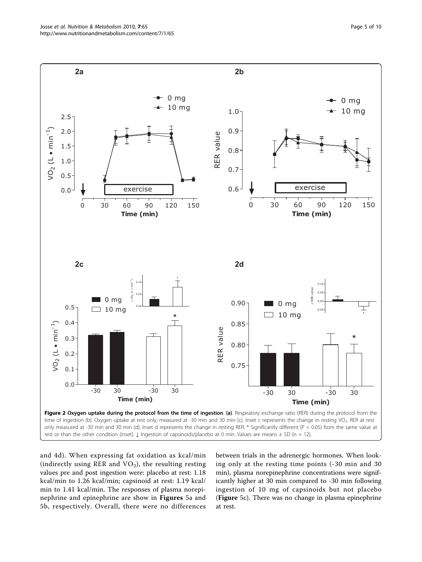<span id="page-4-0"></span>

and [4d\)](#page-6-0). When expressing fat oxidation as kcal/min (indirectly using RER and  $VO<sub>2</sub>$ ), the resulting resting values pre and post ingestion were: placebo at rest: 1.18 kcal/min to 1.26 kcal/min; capsinoid at rest: 1.19 kcal/ min to 1.41 kcal/min. The responses of plasma norepinephrine and epinephrine are show in Figures [5a](#page-7-0) and [5b,](#page-7-0) respectively. Overall, there were no differences between trials in the adrenergic hormones. When looking only at the resting time points (-30 min and 30 min), plasma norepinephrine concentrations were significantly higher at 30 min compared to -30 min following ingestion of 10 mg of capsinoids but not placebo (Figure [5c\)](#page-7-0). There was no change in plasma epinephrine at rest.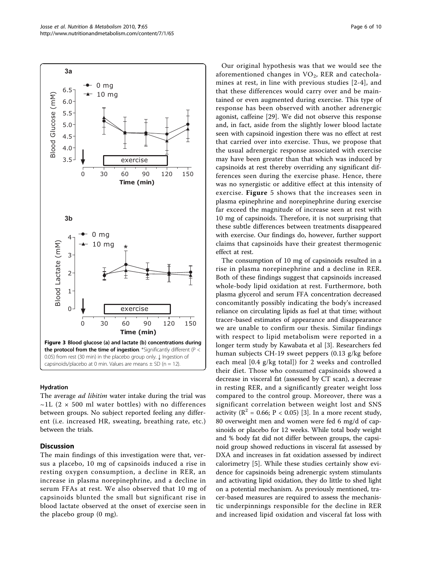<span id="page-5-0"></span>

## Hydration

The average *ad libitim* water intake during the trial was  $\sim$ 1L (2  $\times$  500 ml water bottles) with no differences between groups. No subject reported feeling any different (i.e. increased HR, sweating, breathing rate, etc.) between the trials.

# Discussion

The main findings of this investigation were that, versus a placebo, 10 mg of capsinoids induced a rise in resting oxygen consumption, a decline in RER, an increase in plasma norepinephrine, and a decline in serum FFAs at rest. We also observed that 10 mg of capsinoids blunted the small but significant rise in blood lactate observed at the onset of exercise seen in the placebo group (0 mg).

Our original hypothesis was that we would see the aforementioned changes in  $VO<sub>2</sub>$ , RER and catecholamines at rest, in line with previous studies [\[2-4\]](#page-8-0), and that these differences would carry over and be maintained or even augmented during exercise. This type of response has been observed with another adrenergic agonist, caffeine [\[29](#page-9-0)]. We did not observe this response and, in fact, aside from the slightly lower blood lactate seen with capsinoid ingestion there was no effect at rest that carried over into exercise. Thus, we propose that the usual adrenergic response associated with exercise may have been greater than that which was induced by capsinoids at rest thereby overriding any significant differences seen during the exercise phase. Hence, there was no synergistic or additive effect at this intensity of exercise. Figure [5](#page-7-0) shows that the increases seen in plasma epinephrine and norepinephrine during exercise far exceed the magnitude of increase seen at rest with 10 mg of capsinoids. Therefore, it is not surprising that these subtle differences between treatments disappeared with exercise. Our findings do, however, further support claims that capsinoids have their greatest thermogenic effect at rest.

The consumption of 10 mg of capsinoids resulted in a rise in plasma norepinephrine and a decline in RER. Both of these findings suggest that capsinoids increased whole-body lipid oxidation at rest. Furthermore, both plasma glycerol and serum FFA concentration decreased concomitantly possibly indicating the body's increased reliance on circulating lipids as fuel at that time; without tracer-based estimates of appearance and disappearance we are unable to confirm our thesis. Similar findings with respect to lipid metabolism were reported in a longer term study by Kawabata et al [\[3](#page-8-0)]. Researchers fed human subjects CH-19 sweet peppers (0.13 g/kg before each meal [0.4 g/kg total]) for 2 weeks and controlled their diet. Those who consumed capsinoids showed a decrease in visceral fat (assessed by CT scan), a decrease in resting RER, and a significantly greater weight loss compared to the control group. Moreover, there was a significant correlation between weight lost and SNS activity ( $\mathbb{R}^2$  = 0.66; P < 0.05) [\[3](#page-8-0)]. In a more recent study, 80 overweight men and women were fed 6 mg/d of capsinoids or placebo for 12 weeks. While total body weight and % body fat did not differ between groups, the capsinoid group showed reductions in visceral fat assessed by DXA and increases in fat oxidation assessed by indirect calorimetry [[5](#page-8-0)]. While these studies certainly show evidence for capsinoids being adrenergic system stimulants and activating lipid oxidation, they do little to shed light on a potential mechanism. As previously mentioned, tracer-based measures are required to assess the mechanistic underpinnings responsible for the decline in RER and increased lipid oxidation and visceral fat loss with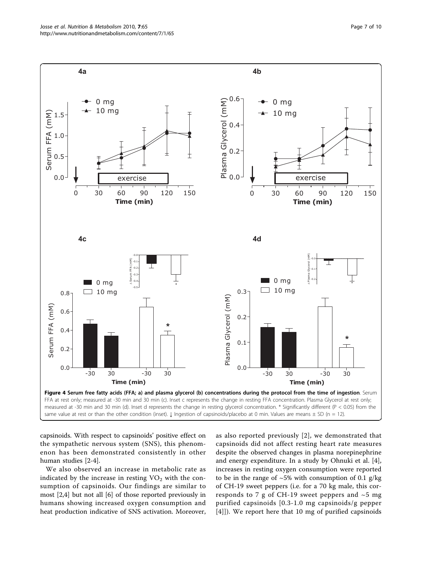<span id="page-6-0"></span>

capsinoids. With respect to capsinoids' positive effect on the sympathetic nervous system (SNS), this phenomenon has been demonstrated consistently in other human studies [[2-4](#page-8-0)].

We also observed an increase in metabolic rate as indicated by the increase in resting  $VO<sub>2</sub>$  with the consumption of capsinoids. Our findings are similar to most [\[2,4](#page-8-0)] but not all [[6\]](#page-8-0) of those reported previously in humans showing increased oxygen consumption and heat production indicative of SNS activation. Moreover, as also reported previously [[2](#page-8-0)], we demonstrated that capsinoids did not affect resting heart rate measures despite the observed changes in plasma norepinephrine and energy expenditure. In a study by Ohnuki et al. [\[4](#page-8-0)], increases in resting oxygen consumption were reported to be in the range of  $\sim 5\%$  with consumption of 0.1 g/kg of CH-19 sweet peppers (i.e. for a 70 kg male, this corresponds to 7 g of CH-19 sweet peppers and  $\sim$ 5 mg purified capsinoids [0.3-1.0 mg capsinoids/g pepper [[4](#page-8-0)]]). We report here that 10 mg of purified capsinoids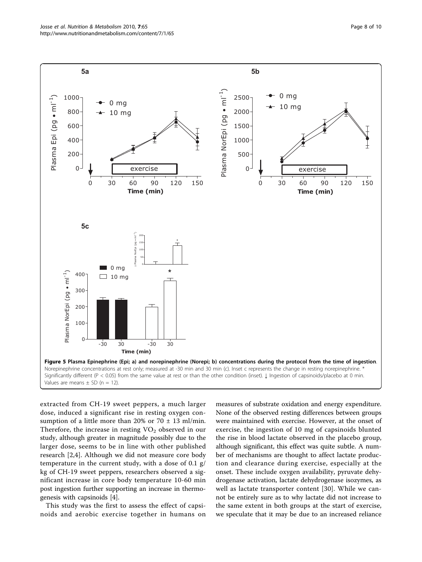<span id="page-7-0"></span>

extracted from CH-19 sweet peppers, a much larger dose, induced a significant rise in resting oxygen consumption of a little more than 20% or  $70 \pm 13$  ml/min. Therefore, the increase in resting  $VO<sub>2</sub>$  observed in our study, although greater in magnitude possibly due to the larger dose, seems to be in line with other published research [\[2,4](#page-8-0)]. Although we did not measure core body temperature in the current study, with a dose of 0.1 g/ kg of CH-19 sweet peppers, researchers observed a significant increase in core body temperature 10-60 min post ingestion further supporting an increase in thermogenesis with capsinoids [\[4](#page-8-0)].

This study was the first to assess the effect of capsinoids and aerobic exercise together in humans on measures of substrate oxidation and energy expenditure. None of the observed resting differences between groups were maintained with exercise. However, at the onset of exercise, the ingestion of 10 mg of capsinoids blunted the rise in blood lactate observed in the placebo group, although significant, this effect was quite subtle. A number of mechanisms are thought to affect lactate production and clearance during exercise, especially at the onset. These include oxygen availability, pyruvate dehydrogenase activation, lactate dehydrogenase isozymes, as well as lactate transporter content [\[30](#page-9-0)]. While we cannot be entirely sure as to why lactate did not increase to the same extent in both groups at the start of exercise, we speculate that it may be due to an increased reliance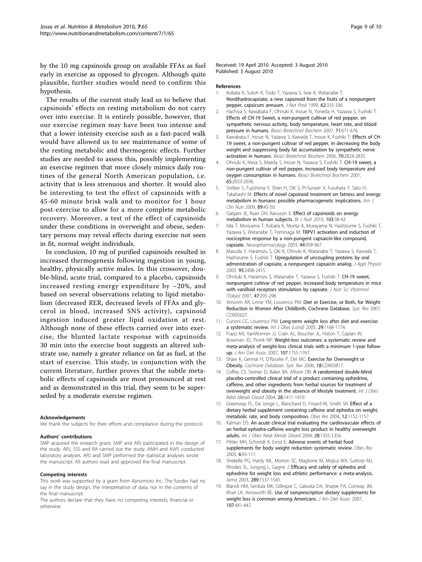<span id="page-8-0"></span>by the 10 mg capsinoids group on available FFAs as fuel early in exercise as opposed to glycogen. Although quite plausible, further studies would need to confirm this hypothesis.

The results of the current study lead us to believe that capsinoids' effects on resting metabolism do not carry over into exercise. It is entirely possible, however, that our exercise regimen may have been too intense and that a lower intensity exercise such as a fast-paced walk would have allowed us to see maintenance of some of the resting metabolic and thermogenic effects. Further studies are needed to assess this, possibly implementing an exercise regimen that more closely mimics daily routines of the general North American population, i.e. activity that is less strenuous and shorter. It would also be interesting to test the effect of capsinoids with a 45-60 minute brisk walk and to monitor for 1 hour post-exercise to allow for a more complete metabolic recovery. Moreover, a test of the effect of capsinoids under these conditions in overweight and obese, sedentary persons may reveal effects during exercise not seen in fit, normal weight individuals.

In conclusion, 10 mg of purified capsinoids resulted in increased thermogenesis following ingestion in young, healthy, physically active males. In this crossover, double-blind, acute trial, compared to a placebo, capsinoids increased resting energy expenditure by  $\sim$ 20%, and based on several observations relating to lipid metabolism (decreased RER, decreased levels of FFAs and glycerol in blood, increased SNS activity), capsinoid ingestion induced greater lipid oxidation at rest. Although none of these effects carried over into exercise, the blunted lactate response with capsinoids 30 min into the exercise bout suggests an altered substrate use, namely a greater reliance on fat as fuel, at the start of exercise. This study, in conjunction with the current literature, further proves that the subtle metabolic effects of capsinoids are most pronounced at rest and as demonstrated in this trial, they seem to be superseded by a moderate exercise regimen.

#### Acknowledgements

We thank the subjects for their efforts and compliance during the protocol.

#### Authors' contributions

SMP acquired the research grant. SMP and ARJ participated in the design of the study. ARJ, SSS and RA carried out the study. AMH and AWS conducted laboratory analyses. ARJ and SMP performed the statistical analyses wrote the manuscript. All authors read and approved the final manuscript.

#### Competing interests

This work was supported by a grant from Ajinomoto Inc. The funder had no say in the study design, the interpretation of data, nor in the contents of the final manuscript.

The authors declare that they have no competing interests, financial or otherwise.

Received: 19 April 2010 Accepted: 3 August 2010 Published: 3 August 2010

#### References

- 1. Kobata K, Sutoh K, Todo T, Yazawa S, Iwai K, Watanabe T: [Nordihydrocapsiate, a new capsinoid from the fruits of a nonpungent](http://www.ncbi.nlm.nih.gov/pubmed/10075779?dopt=Abstract) [pepper, capsicum annuum.](http://www.ncbi.nlm.nih.gov/pubmed/10075779?dopt=Abstract) J Nat Prod 1999, 62:335-336.
- 2. Hachiya S, Kawabata F, Ohnuki K, Inoue N, Yoneda H, Yazawa S, Fushiki T: [Effects of CH-19 Sweet, a non-pungent cultivar of red pepper, on](http://www.ncbi.nlm.nih.gov/pubmed/17341828?dopt=Abstract) [sympathetic nervous activity, body temperature, heart rate, and blood](http://www.ncbi.nlm.nih.gov/pubmed/17341828?dopt=Abstract) [pressure in humans.](http://www.ncbi.nlm.nih.gov/pubmed/17341828?dopt=Abstract) Biosci Biotechnol Biochem 2007, 71:671-676.
- 3. Kawabata F, Inoue N, Yazawa S, Kawada T, Inoue K, Fushiki T: [Effects of CH-](http://www.ncbi.nlm.nih.gov/pubmed/17151481?dopt=Abstract)[19 sweet, a non-pungent cultivar of red pepper, in decreasing the body](http://www.ncbi.nlm.nih.gov/pubmed/17151481?dopt=Abstract) [weight and suppressing body fat accumulation by sympathetic nerve](http://www.ncbi.nlm.nih.gov/pubmed/17151481?dopt=Abstract) [activation in humans.](http://www.ncbi.nlm.nih.gov/pubmed/17151481?dopt=Abstract) Biosci Biotechnol Biochem 2006, 70:2824-2835.
- Ohnuki K, Niwa S, Maeda S, Inoue N, Yazawa S, Fushiki T: [CH-19 sweet, a](http://www.ncbi.nlm.nih.gov/pubmed/11676017?dopt=Abstract) [non-pungent cultivar of red pepper, increased body temperature and](http://www.ncbi.nlm.nih.gov/pubmed/11676017?dopt=Abstract) [oxygen consumption in humans.](http://www.ncbi.nlm.nih.gov/pubmed/11676017?dopt=Abstract) Biosci Biotechnol Biochem 2001, 65:2033-2036.
- 5. Snitker S, Fujishima Y, Shen H, Ott S, Pi-Sunyer X, Furuhata Y, Sato H, Takahashi M: [Effects of novel capsinoid treatment on fatness and energy](http://www.ncbi.nlm.nih.gov/pubmed/19056576?dopt=Abstract) [metabolism in humans: possible pharmacogenetic implications.](http://www.ncbi.nlm.nih.gov/pubmed/19056576?dopt=Abstract) Am J Clin Nutr 2009, 89:45-50.
- 6. Galgani JE, Ryan DH, Ravussin E: [Effect of capsinoids on energy](http://www.ncbi.nlm.nih.gov/pubmed/19671203?dopt=Abstract) [metabolism in human subjects.](http://www.ncbi.nlm.nih.gov/pubmed/19671203?dopt=Abstract) Br J Nutr 2010, 103:38-42.
- 7. Iida T, Moriyama T, Kobata K, Morita A, Murayama N, Hashizume S, Fushiki T, Yazawa S, Watanabe T, Tominaga M: [TRPV1 activation and induction of](http://www.ncbi.nlm.nih.gov/pubmed/12726827?dopt=Abstract) [nociceptive response by a non-pungent capsaicin-like compound,](http://www.ncbi.nlm.nih.gov/pubmed/12726827?dopt=Abstract) [capsiate.](http://www.ncbi.nlm.nih.gov/pubmed/12726827?dopt=Abstract) Neuropharmacology 2003, 44:958-967.
- 8. Masuda Y, Haramizu S, Oki K, Ohnuki K, Watanabe T, Yazawa S, Kawada T, Hashizume S, Fushiki T: [Upregulation of uncoupling proteins by oral](http://www.ncbi.nlm.nih.gov/pubmed/12959953?dopt=Abstract) [administration of capsiate, a nonpungent capsaicin analog.](http://www.ncbi.nlm.nih.gov/pubmed/12959953?dopt=Abstract) J Appl Physiol 2003, 95:2408-2415.
- 9. Ohnluki K, Haramizu S, Watanabe T, Yazawa S, Fushiki T: [CH-19 sweet,](http://www.ncbi.nlm.nih.gov/pubmed/11767210?dopt=Abstract) [nonpungent cultivar of red pepper, increased body temperature in mice](http://www.ncbi.nlm.nih.gov/pubmed/11767210?dopt=Abstract) [with vanilloid receptors stimulation by capsiate.](http://www.ncbi.nlm.nih.gov/pubmed/11767210?dopt=Abstract) J Nutr Sci Vitaminol (Tokyo) 2001, 47:295-298.
- 10. Amorim AR, Linne YM, Lourenco PM: Diet or Exercise, or Both, for Weight Reduction in Women After Childbirth. Cochrane Database. Syst. Rev 2007, CD005627.
- 11. Curioni CC, Lourenco PM: [Long-term weight loss after diet and exercise:](http://www.ncbi.nlm.nih.gov/pubmed/15925949?dopt=Abstract) [a systematic review.](http://www.ncbi.nlm.nih.gov/pubmed/15925949?dopt=Abstract) Int J Obes (Lond) 2005, 29:1168-1174.
- 12. Franz MJ, VanWormer JJ, Crain AL, Boucher JL, Histon T, Caplan W, Bowman JD, Pronk NP: [Weight-loss outcomes: a systematic review and](http://www.ncbi.nlm.nih.gov/pubmed/17904936?dopt=Abstract) [meta-analysis of weight-loss clinical trials with a minimum 1-year follow](http://www.ncbi.nlm.nih.gov/pubmed/17904936?dopt=Abstract)[up.](http://www.ncbi.nlm.nih.gov/pubmed/17904936?dopt=Abstract) J Am Diet Assoc 2007, 107:1755-1767.
- 13. Shaw K, Gennat H, O'Rourke P, Del MC: Exercise for Overweight or Obesity. Cochrane Database. Syst. Rev 2006, 18:CD003817.
- 14. Coffey CS, Steiner D, Baker BA, Allison DB: [A randomized double-blind](http://www.ncbi.nlm.nih.gov/pubmed/15356670?dopt=Abstract) [placebo-controlled clinical trial of a product containing ephedrine,](http://www.ncbi.nlm.nih.gov/pubmed/15356670?dopt=Abstract) [caffeine, and other ingredients from herbal sources for treatment of](http://www.ncbi.nlm.nih.gov/pubmed/15356670?dopt=Abstract) [overweight and obesity in the absence of lifestyle treatment.](http://www.ncbi.nlm.nih.gov/pubmed/15356670?dopt=Abstract) Int J Obes Relat Metab Disord 2004, 28:1411-1419.
- 15. Greenway FL, De Jonge L, Blanchard D, Frisard M, Smith SR: [Effect of a](http://www.ncbi.nlm.nih.gov/pubmed/15292480?dopt=Abstract) [dietary herbal supplement containing caffeine and ephedra on weight,](http://www.ncbi.nlm.nih.gov/pubmed/15292480?dopt=Abstract) [metabolic rate, and body composition.](http://www.ncbi.nlm.nih.gov/pubmed/15292480?dopt=Abstract) Obes Res 2004, 12:1152-1157.
- 16. Kalman DS: [An acute clinical trial evaluating the cardiovascular effects of](http://www.ncbi.nlm.nih.gov/pubmed/15365583?dopt=Abstract) [an herbal ephedra-caffeine weight loss product in healthy overweight](http://www.ncbi.nlm.nih.gov/pubmed/15365583?dopt=Abstract) [adults.](http://www.ncbi.nlm.nih.gov/pubmed/15365583?dopt=Abstract) Int J Obes Relat Metab Disord 2004, 28:1355-1356.
- 17. Pittler MH, Schmidt K, Ernst E: [Adverse events of herbal food](http://www.ncbi.nlm.nih.gov/pubmed/15836459?dopt=Abstract) [supplements for body weight reduction: systematic review.](http://www.ncbi.nlm.nih.gov/pubmed/15836459?dopt=Abstract) Obes Rev 2005, 6:93-111.
- 18. Shekelle PG, Hardy ML, Morton SC, Maglione M, Mojica WA, Suttorp MJ, Rhodes SL, Jungvig L, Gagne J: [Efficacy and safety of ephedra and](http://www.ncbi.nlm.nih.gov/pubmed/12672771?dopt=Abstract) [ephedrine for weight loss and athletic performance: a meta-analysis.](http://www.ncbi.nlm.nih.gov/pubmed/12672771?dopt=Abstract) Jama 2003, 289:1537-1545.
- 19. Blanck HM, Serdula MK, Gillespie C, Galuska DA, Sharpe PA, Conway JM, Khan LK, Ainsworth BE: [Use of nonprescription dietary supplements for](http://www.ncbi.nlm.nih.gov/pubmed/17324663?dopt=Abstract) [weight loss is common among Americans.](http://www.ncbi.nlm.nih.gov/pubmed/17324663?dopt=Abstract) J Am Diet Assoc 2007, 107:441-447.